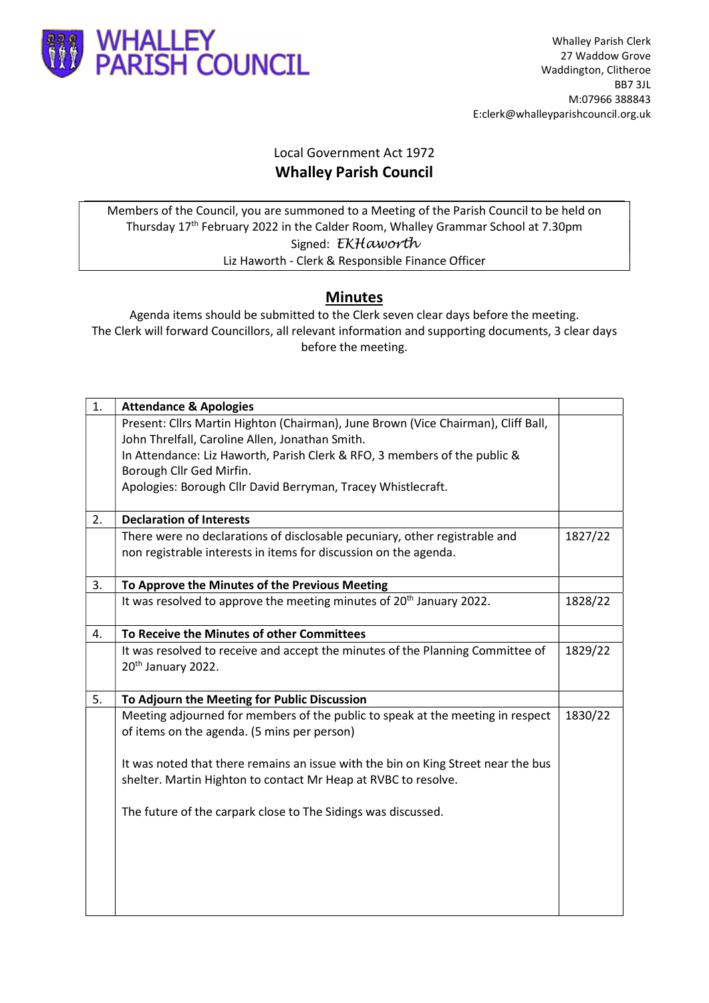

## Local Government Act 1972 Whalley Parish Council

Members of the Council, you are summoned to a Meeting of the Parish Council to be held on Thursday 17th February 2022 in the Calder Room, Whalley Grammar School at 7.30pm Signed: EKHaworth Liz Haworth - Clerk & Responsible Finance Officer

## Minutes

Agenda items should be submitted to the Clerk seven clear days before the meeting. The Clerk will forward Councillors, all relevant information and supporting documents, 3 clear days before the meeting.

| 1. | <b>Attendance &amp; Apologies</b>                                                 |         |
|----|-----------------------------------------------------------------------------------|---------|
|    | Present: Cllrs Martin Highton (Chairman), June Brown (Vice Chairman), Cliff Ball, |         |
|    | John Threlfall, Caroline Allen, Jonathan Smith.                                   |         |
|    | In Attendance: Liz Haworth, Parish Clerk & RFO, 3 members of the public &         |         |
|    | Borough Cllr Ged Mirfin.                                                          |         |
|    | Apologies: Borough Cllr David Berryman, Tracey Whistlecraft.                      |         |
| 2. | <b>Declaration of Interests</b>                                                   |         |
|    | There were no declarations of disclosable pecuniary, other registrable and        | 1827/22 |
|    | non registrable interests in items for discussion on the agenda.                  |         |
| 3. | To Approve the Minutes of the Previous Meeting                                    |         |
|    | It was resolved to approve the meeting minutes of 20 <sup>th</sup> January 2022.  | 1828/22 |
| 4. | To Receive the Minutes of other Committees                                        |         |
|    | It was resolved to receive and accept the minutes of the Planning Committee of    | 1829/22 |
|    | 20 <sup>th</sup> January 2022.                                                    |         |
| 5. | To Adjourn the Meeting for Public Discussion                                      |         |
|    | Meeting adjourned for members of the public to speak at the meeting in respect    | 1830/22 |
|    | of items on the agenda. (5 mins per person)                                       |         |
|    | It was noted that there remains an issue with the bin on King Street near the bus |         |
|    | shelter. Martin Highton to contact Mr Heap at RVBC to resolve.                    |         |
|    | The future of the carpark close to The Sidings was discussed.                     |         |
|    |                                                                                   |         |
|    |                                                                                   |         |
|    |                                                                                   |         |
|    |                                                                                   |         |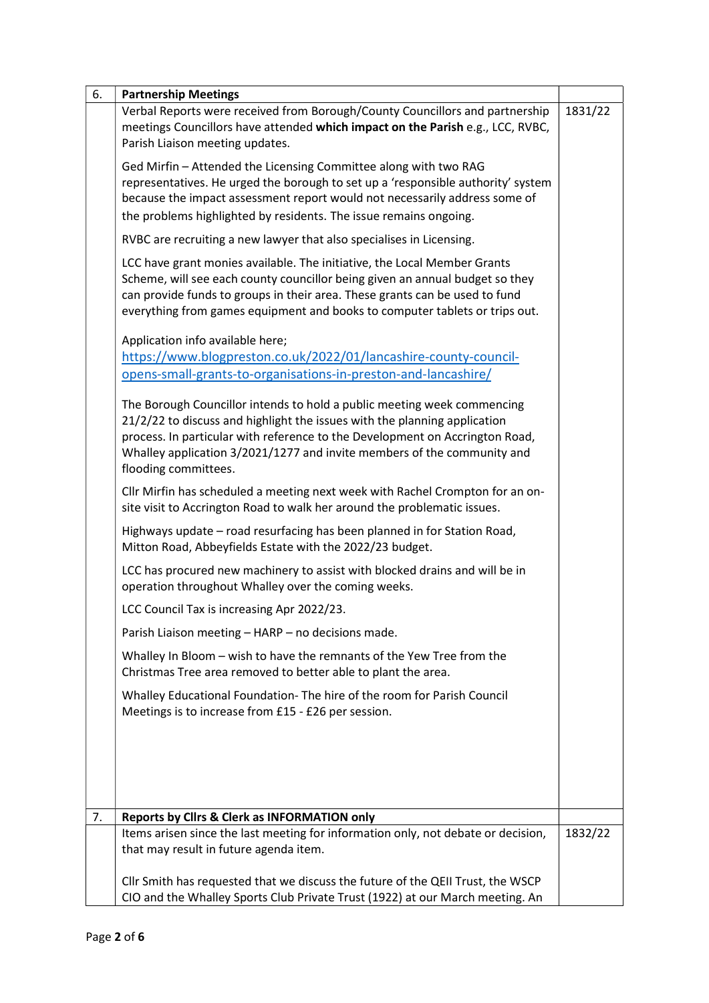| 6. | <b>Partnership Meetings</b>                                                                                                                                                                                                                                                                                                             |         |
|----|-----------------------------------------------------------------------------------------------------------------------------------------------------------------------------------------------------------------------------------------------------------------------------------------------------------------------------------------|---------|
|    | Verbal Reports were received from Borough/County Councillors and partnership<br>meetings Councillors have attended which impact on the Parish e.g., LCC, RVBC,<br>Parish Liaison meeting updates.                                                                                                                                       | 1831/22 |
|    | Ged Mirfin - Attended the Licensing Committee along with two RAG<br>representatives. He urged the borough to set up a 'responsible authority' system<br>because the impact assessment report would not necessarily address some of<br>the problems highlighted by residents. The issue remains ongoing.                                 |         |
|    | RVBC are recruiting a new lawyer that also specialises in Licensing.                                                                                                                                                                                                                                                                    |         |
|    | LCC have grant monies available. The initiative, the Local Member Grants<br>Scheme, will see each county councillor being given an annual budget so they<br>can provide funds to groups in their area. These grants can be used to fund<br>everything from games equipment and books to computer tablets or trips out.                  |         |
|    | Application info available here;                                                                                                                                                                                                                                                                                                        |         |
|    | https://www.blogpreston.co.uk/2022/01/lancashire-county-council-                                                                                                                                                                                                                                                                        |         |
|    | opens-small-grants-to-organisations-in-preston-and-lancashire/                                                                                                                                                                                                                                                                          |         |
|    | The Borough Councillor intends to hold a public meeting week commencing<br>21/2/22 to discuss and highlight the issues with the planning application<br>process. In particular with reference to the Development on Accrington Road,<br>Whalley application 3/2021/1277 and invite members of the community and<br>flooding committees. |         |
|    | Cllr Mirfin has scheduled a meeting next week with Rachel Crompton for an on-<br>site visit to Accrington Road to walk her around the problematic issues.                                                                                                                                                                               |         |
|    | Highways update - road resurfacing has been planned in for Station Road,<br>Mitton Road, Abbeyfields Estate with the 2022/23 budget.                                                                                                                                                                                                    |         |
|    | LCC has procured new machinery to assist with blocked drains and will be in<br>operation throughout Whalley over the coming weeks.                                                                                                                                                                                                      |         |
|    | LCC Council Tax is increasing Apr 2022/23.                                                                                                                                                                                                                                                                                              |         |
|    | Parish Liaison meeting - HARP - no decisions made.                                                                                                                                                                                                                                                                                      |         |
|    | Whalley In Bloom - wish to have the remnants of the Yew Tree from the<br>Christmas Tree area removed to better able to plant the area.                                                                                                                                                                                                  |         |
|    | Whalley Educational Foundation- The hire of the room for Parish Council<br>Meetings is to increase from £15 - £26 per session.                                                                                                                                                                                                          |         |
|    |                                                                                                                                                                                                                                                                                                                                         |         |
| 7. | Reports by Clirs & Clerk as INFORMATION only                                                                                                                                                                                                                                                                                            |         |
|    | Items arisen since the last meeting for information only, not debate or decision,<br>that may result in future agenda item.                                                                                                                                                                                                             | 1832/22 |
|    | Cllr Smith has requested that we discuss the future of the QEII Trust, the WSCP                                                                                                                                                                                                                                                         |         |
|    | CIO and the Whalley Sports Club Private Trust (1922) at our March meeting. An                                                                                                                                                                                                                                                           |         |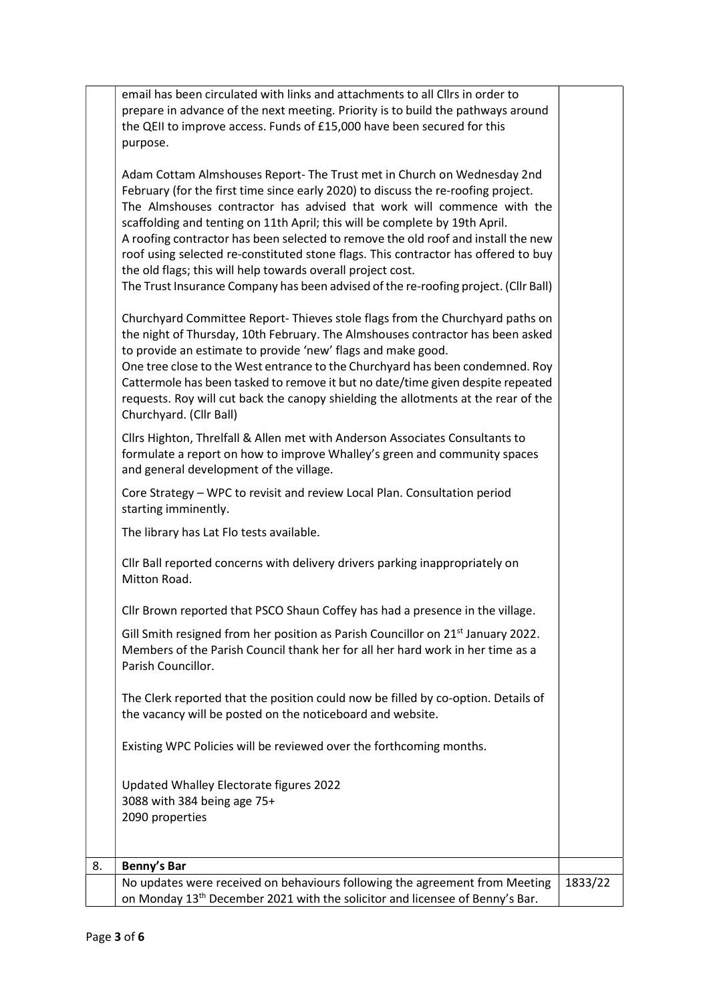|    | email has been circulated with links and attachments to all Cllrs in order to<br>prepare in advance of the next meeting. Priority is to build the pathways around<br>the QEII to improve access. Funds of £15,000 have been secured for this<br>purpose.                                                                                                                                                                                                                                                                                                                                                                                               |         |
|----|--------------------------------------------------------------------------------------------------------------------------------------------------------------------------------------------------------------------------------------------------------------------------------------------------------------------------------------------------------------------------------------------------------------------------------------------------------------------------------------------------------------------------------------------------------------------------------------------------------------------------------------------------------|---------|
|    | Adam Cottam Almshouses Report- The Trust met in Church on Wednesday 2nd<br>February (for the first time since early 2020) to discuss the re-roofing project.<br>The Almshouses contractor has advised that work will commence with the<br>scaffolding and tenting on 11th April; this will be complete by 19th April.<br>A roofing contractor has been selected to remove the old roof and install the new<br>roof using selected re-constituted stone flags. This contractor has offered to buy<br>the old flags; this will help towards overall project cost.<br>The Trust Insurance Company has been advised of the re-roofing project. (Cllr Ball) |         |
|    | Churchyard Committee Report- Thieves stole flags from the Churchyard paths on<br>the night of Thursday, 10th February. The Almshouses contractor has been asked<br>to provide an estimate to provide 'new' flags and make good.<br>One tree close to the West entrance to the Churchyard has been condemned. Roy<br>Cattermole has been tasked to remove it but no date/time given despite repeated<br>requests. Roy will cut back the canopy shielding the allotments at the rear of the<br>Churchyard. (Cllr Ball)                                                                                                                                   |         |
|    | Cllrs Highton, Threlfall & Allen met with Anderson Associates Consultants to<br>formulate a report on how to improve Whalley's green and community spaces<br>and general development of the village.                                                                                                                                                                                                                                                                                                                                                                                                                                                   |         |
|    | Core Strategy - WPC to revisit and review Local Plan. Consultation period<br>starting imminently.                                                                                                                                                                                                                                                                                                                                                                                                                                                                                                                                                      |         |
|    | The library has Lat Flo tests available.                                                                                                                                                                                                                                                                                                                                                                                                                                                                                                                                                                                                               |         |
|    | Cllr Ball reported concerns with delivery drivers parking inappropriately on<br>Mitton Road.                                                                                                                                                                                                                                                                                                                                                                                                                                                                                                                                                           |         |
|    | Cllr Brown reported that PSCO Shaun Coffey has had a presence in the village.                                                                                                                                                                                                                                                                                                                                                                                                                                                                                                                                                                          |         |
|    | Gill Smith resigned from her position as Parish Councillor on 21 <sup>st</sup> January 2022.<br>Members of the Parish Council thank her for all her hard work in her time as a<br>Parish Councillor.                                                                                                                                                                                                                                                                                                                                                                                                                                                   |         |
|    | The Clerk reported that the position could now be filled by co-option. Details of<br>the vacancy will be posted on the noticeboard and website.                                                                                                                                                                                                                                                                                                                                                                                                                                                                                                        |         |
|    | Existing WPC Policies will be reviewed over the forthcoming months.                                                                                                                                                                                                                                                                                                                                                                                                                                                                                                                                                                                    |         |
|    | Updated Whalley Electorate figures 2022<br>3088 with 384 being age 75+<br>2090 properties                                                                                                                                                                                                                                                                                                                                                                                                                                                                                                                                                              |         |
| 8. | Benny's Bar                                                                                                                                                                                                                                                                                                                                                                                                                                                                                                                                                                                                                                            |         |
|    | No updates were received on behaviours following the agreement from Meeting<br>on Monday 13 <sup>th</sup> December 2021 with the solicitor and licensee of Benny's Bar.                                                                                                                                                                                                                                                                                                                                                                                                                                                                                | 1833/22 |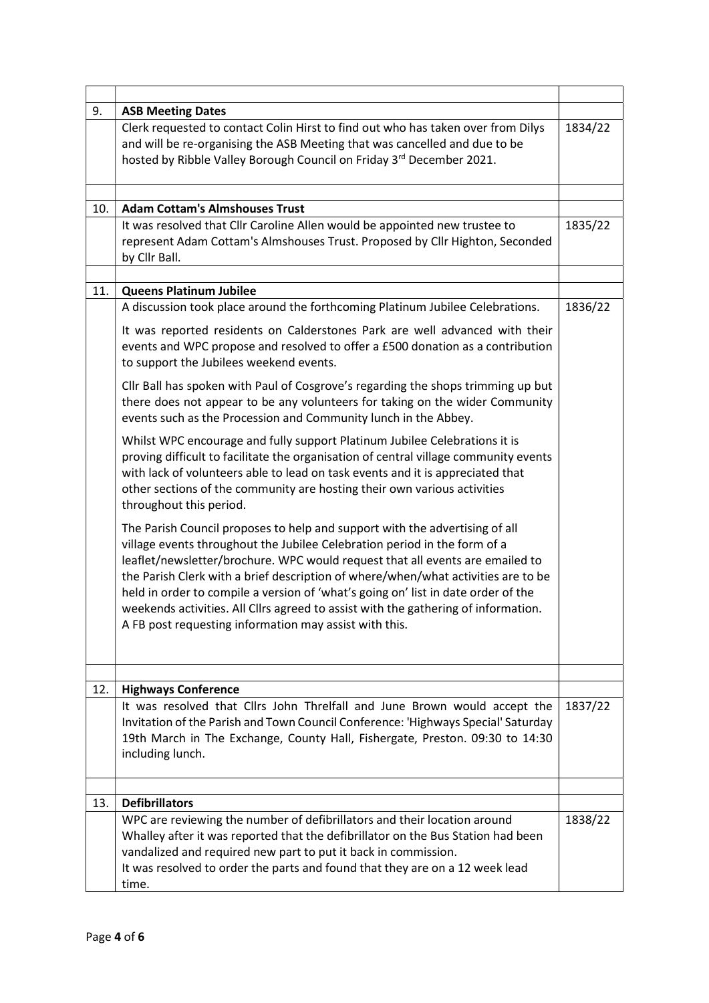| 9.  | <b>ASB Meeting Dates</b>                                                                                                                                                                                                                                                                                                                                                                                                                                                                                                                                            |         |
|-----|---------------------------------------------------------------------------------------------------------------------------------------------------------------------------------------------------------------------------------------------------------------------------------------------------------------------------------------------------------------------------------------------------------------------------------------------------------------------------------------------------------------------------------------------------------------------|---------|
|     | Clerk requested to contact Colin Hirst to find out who has taken over from Dilys<br>and will be re-organising the ASB Meeting that was cancelled and due to be<br>hosted by Ribble Valley Borough Council on Friday 3rd December 2021.                                                                                                                                                                                                                                                                                                                              | 1834/22 |
|     |                                                                                                                                                                                                                                                                                                                                                                                                                                                                                                                                                                     |         |
| 10. | <b>Adam Cottam's Almshouses Trust</b>                                                                                                                                                                                                                                                                                                                                                                                                                                                                                                                               | 1835/22 |
|     | It was resolved that Cllr Caroline Allen would be appointed new trustee to<br>represent Adam Cottam's Almshouses Trust. Proposed by Cllr Highton, Seconded<br>by Cllr Ball.                                                                                                                                                                                                                                                                                                                                                                                         |         |
|     |                                                                                                                                                                                                                                                                                                                                                                                                                                                                                                                                                                     |         |
| 11. | <b>Queens Platinum Jubilee</b>                                                                                                                                                                                                                                                                                                                                                                                                                                                                                                                                      |         |
|     | A discussion took place around the forthcoming Platinum Jubilee Celebrations.                                                                                                                                                                                                                                                                                                                                                                                                                                                                                       | 1836/22 |
|     | It was reported residents on Calderstones Park are well advanced with their<br>events and WPC propose and resolved to offer a £500 donation as a contribution<br>to support the Jubilees weekend events.                                                                                                                                                                                                                                                                                                                                                            |         |
|     | Cllr Ball has spoken with Paul of Cosgrove's regarding the shops trimming up but<br>there does not appear to be any volunteers for taking on the wider Community<br>events such as the Procession and Community lunch in the Abbey.                                                                                                                                                                                                                                                                                                                                 |         |
|     | Whilst WPC encourage and fully support Platinum Jubilee Celebrations it is<br>proving difficult to facilitate the organisation of central village community events<br>with lack of volunteers able to lead on task events and it is appreciated that<br>other sections of the community are hosting their own various activities<br>throughout this period.                                                                                                                                                                                                         |         |
|     | The Parish Council proposes to help and support with the advertising of all<br>village events throughout the Jubilee Celebration period in the form of a<br>leaflet/newsletter/brochure. WPC would request that all events are emailed to<br>the Parish Clerk with a brief description of where/when/what activities are to be<br>held in order to compile a version of 'what's going on' list in date order of the<br>weekends activities. All Cllrs agreed to assist with the gathering of information.<br>A FB post requesting information may assist with this. |         |
|     |                                                                                                                                                                                                                                                                                                                                                                                                                                                                                                                                                                     |         |
| 12. | <b>Highways Conference</b><br>It was resolved that Cllrs John Threlfall and June Brown would accept the                                                                                                                                                                                                                                                                                                                                                                                                                                                             | 1837/22 |
|     | Invitation of the Parish and Town Council Conference: 'Highways Special' Saturday<br>19th March in The Exchange, County Hall, Fishergate, Preston. 09:30 to 14:30<br>including lunch.                                                                                                                                                                                                                                                                                                                                                                               |         |
|     |                                                                                                                                                                                                                                                                                                                                                                                                                                                                                                                                                                     |         |
| 13. | <b>Defibrillators</b>                                                                                                                                                                                                                                                                                                                                                                                                                                                                                                                                               |         |
|     | WPC are reviewing the number of defibrillators and their location around<br>Whalley after it was reported that the defibrillator on the Bus Station had been<br>vandalized and required new part to put it back in commission.<br>It was resolved to order the parts and found that they are on a 12 week lead<br>time.                                                                                                                                                                                                                                             | 1838/22 |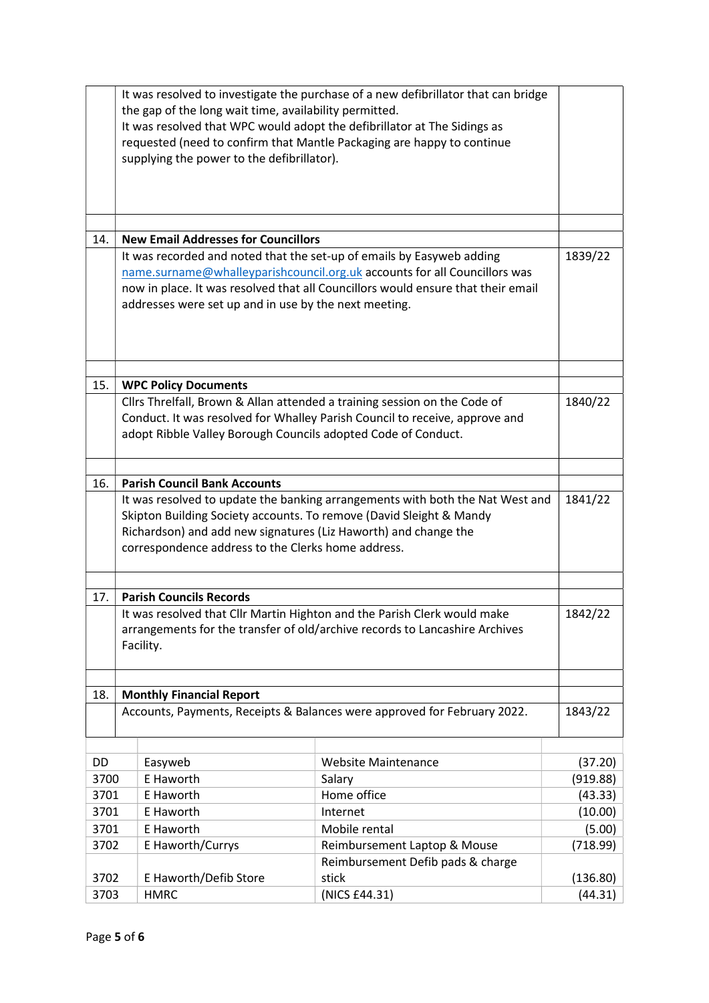|      | the gap of the long wait time, availability permitted.<br>supplying the power to the defibrillator).                                                                                         | It was resolved to investigate the purchase of a new defibrillator that can bridge<br>It was resolved that WPC would adopt the defibrillator at The Sidings as<br>requested (need to confirm that Mantle Packaging are happy to continue |          |
|------|----------------------------------------------------------------------------------------------------------------------------------------------------------------------------------------------|------------------------------------------------------------------------------------------------------------------------------------------------------------------------------------------------------------------------------------------|----------|
|      |                                                                                                                                                                                              |                                                                                                                                                                                                                                          |          |
| 14.  | <b>New Email Addresses for Councillors</b>                                                                                                                                                   |                                                                                                                                                                                                                                          |          |
|      | addresses were set up and in use by the next meeting.                                                                                                                                        | It was recorded and noted that the set-up of emails by Easyweb adding<br>name.surname@whalleyparishcouncil.org.uk accounts for all Councillors was<br>now in place. It was resolved that all Councillors would ensure that their email   | 1839/22  |
| 15.  |                                                                                                                                                                                              |                                                                                                                                                                                                                                          |          |
|      | <b>WPC Policy Documents</b>                                                                                                                                                                  | Cllrs Threlfall, Brown & Allan attended a training session on the Code of                                                                                                                                                                | 1840/22  |
|      | adopt Ribble Valley Borough Councils adopted Code of Conduct.                                                                                                                                | Conduct. It was resolved for Whalley Parish Council to receive, approve and                                                                                                                                                              |          |
| 16.  | <b>Parish Council Bank Accounts</b>                                                                                                                                                          |                                                                                                                                                                                                                                          |          |
|      | Skipton Building Society accounts. To remove (David Sleight & Mandy<br>Richardson) and add new signatures (Liz Haworth) and change the<br>correspondence address to the Clerks home address. | It was resolved to update the banking arrangements with both the Nat West and                                                                                                                                                            | 1841/22  |
| 17.  | <b>Parish Councils Records</b>                                                                                                                                                               |                                                                                                                                                                                                                                          |          |
|      | Facility.                                                                                                                                                                                    | It was resolved that Cllr Martin Highton and the Parish Clerk would make<br>arrangements for the transfer of old/archive records to Lancashire Archives                                                                                  | 1842/22  |
| 18.  | <b>Monthly Financial Report</b>                                                                                                                                                              |                                                                                                                                                                                                                                          |          |
|      |                                                                                                                                                                                              | Accounts, Payments, Receipts & Balances were approved for February 2022.                                                                                                                                                                 | 1843/22  |
| DD   | Easyweb                                                                                                                                                                                      | <b>Website Maintenance</b>                                                                                                                                                                                                               | (37.20)  |
| 3700 | E Haworth                                                                                                                                                                                    | Salary                                                                                                                                                                                                                                   | (919.88) |
| 3701 | E Haworth                                                                                                                                                                                    | Home office                                                                                                                                                                                                                              | (43.33)  |
| 3701 | E Haworth                                                                                                                                                                                    | Internet                                                                                                                                                                                                                                 | (10.00)  |
| 3701 | E Haworth                                                                                                                                                                                    | Mobile rental                                                                                                                                                                                                                            | (5.00)   |
| 3702 | E Haworth/Currys                                                                                                                                                                             | Reimbursement Laptop & Mouse                                                                                                                                                                                                             | (718.99) |
|      |                                                                                                                                                                                              | Reimbursement Defib pads & charge                                                                                                                                                                                                        |          |
| 3702 | E Haworth/Defib Store                                                                                                                                                                        | stick                                                                                                                                                                                                                                    | (136.80) |
| 3703 | <b>HMRC</b>                                                                                                                                                                                  | (NICS £44.31)                                                                                                                                                                                                                            | (44.31)  |